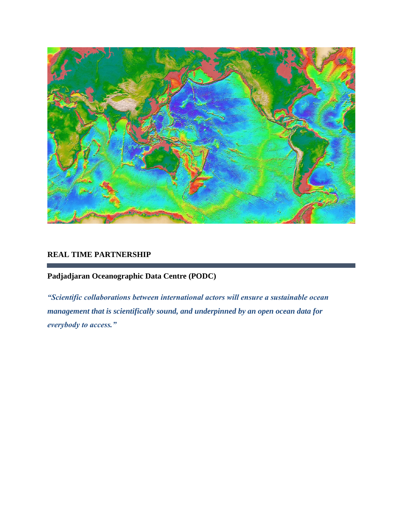

### **REAL TIME PARTNERSHIP**

**Padjadjaran Oceanographic Data Centre (PODC)**

*"Scientific collaborations between international actors will ensure a sustainable ocean management that is scientifically sound, and underpinned by an open ocean data for everybody to access."*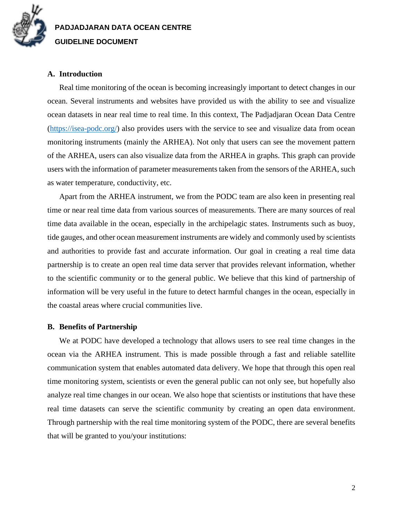

# **PADJADJARAN DATA OCEAN CENTRE GUIDELINE DOCUMENT**

### **A. Introduction**

Real time monitoring of the ocean is becoming increasingly important to detect changes in our ocean. Several instruments and websites have provided us with the ability to see and visualize ocean datasets in near real time to real time. In this context, The Padjadjaran Ocean Data Centre [\(https://isea-podc.org/\)](https://isea-podc.org/) also provides users with the service to see and visualize data from ocean monitoring instruments (mainly the ARHEA). Not only that users can see the movement pattern of the ARHEA, users can also visualize data from the ARHEA in graphs. This graph can provide users with the information of parameter measurements taken from the sensors of the ARHEA, such as water temperature, conductivity, etc.

Apart from the ARHEA instrument, we from the PODC team are also keen in presenting real time or near real time data from various sources of measurements. There are many sources of real time data available in the ocean, especially in the archipelagic states. Instruments such as buoy, tide gauges, and other ocean measurement instruments are widely and commonly used by scientists and authorities to provide fast and accurate information. Our goal in creating a real time data partnership is to create an open real time data server that provides relevant information, whether to the scientific community or to the general public. We believe that this kind of partnership of information will be very useful in the future to detect harmful changes in the ocean, especially in the coastal areas where crucial communities live.

#### **B. Benefits of Partnership**

We at PODC have developed a technology that allows users to see real time changes in the ocean via the ARHEA instrument. This is made possible through a fast and reliable satellite communication system that enables automated data delivery. We hope that through this open real time monitoring system, scientists or even the general public can not only see, but hopefully also analyze real time changes in our ocean. We also hope that scientists or institutions that have these real time datasets can serve the scientific community by creating an open data environment. Through partnership with the real time monitoring system of the PODC, there are several benefits that will be granted to you/your institutions: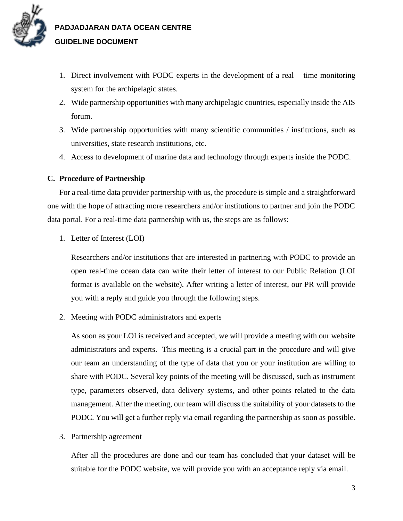

# **PADJADJARAN DATA OCEAN CENTRE GUIDELINE DOCUMENT**

- 1. Direct involvement with PODC experts in the development of a real time monitoring system for the archipelagic states.
- 2. Wide partnership opportunities with many archipelagic countries, especially inside the AIS forum.
- 3. Wide partnership opportunities with many scientific communities / institutions, such as universities, state research institutions, etc.
- 4. Access to development of marine data and technology through experts inside the PODC.

### **C. Procedure of Partnership**

For a real-time data provider partnership with us, the procedure is simple and a straightforward one with the hope of attracting more researchers and/or institutions to partner and join the PODC data portal. For a real-time data partnership with us, the steps are as follows:

1. Letter of Interest (LOI)

Researchers and/or institutions that are interested in partnering with PODC to provide an open real-time ocean data can write their letter of interest to our Public Relation (LOI format is available on the website). After writing a letter of interest, our PR will provide you with a reply and guide you through the following steps.

2. Meeting with PODC administrators and experts

As soon as your LOI is received and accepted, we will provide a meeting with our website administrators and experts. This meeting is a crucial part in the procedure and will give our team an understanding of the type of data that you or your institution are willing to share with PODC. Several key points of the meeting will be discussed, such as instrument type, parameters observed, data delivery systems, and other points related to the data management. After the meeting, our team will discuss the suitability of your datasets to the PODC. You will get a further reply via email regarding the partnership as soon as possible.

3. Partnership agreement

After all the procedures are done and our team has concluded that your dataset will be suitable for the PODC website, we will provide you with an acceptance reply via email.